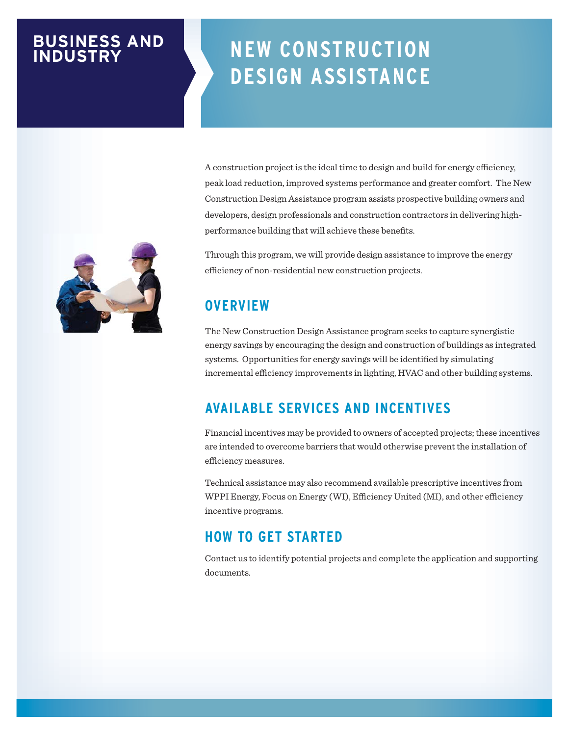# **BUSINESS AND INDUSTRY**

# **NEW CONSTRUCTION DESIGN ASSISTANCE**

A construction project is the ideal time to design and build for energy efficiency, peak load reduction, improved systems performance and greater comfort. The New Construction Design Assistance program assists prospective building owners and developers, design professionals and construction contractors in delivering highperformance building that will achieve these benefits.

Through this program, we will provide design assistance to improve the energy efficiency of non-residential new construction projects.

# **OVERVIEW**

The New Construction Design Assistance program seeks to capture synergistic energy savings by encouraging the design and construction of buildings as integrated systems. Opportunities for energy savings will be identified by simulating incremental efficiency improvements in lighting, HVAC and other building systems.

### **AVAILABLE SERVICES AND INCENTIVES**

Financial incentives may be provided to owners of accepted projects; these incentives are intended to overcome barriers that would otherwise prevent the installation of efficiency measures.

Technical assistance may also recommend available prescriptive incentives from WPPI Energy, Focus on Energy (WI), Efficiency United (MI), and other efficiency incentive programs.

### **HOW TO GET STARTED**

Contact us to identify potential projects and complete the application and supporting documents.